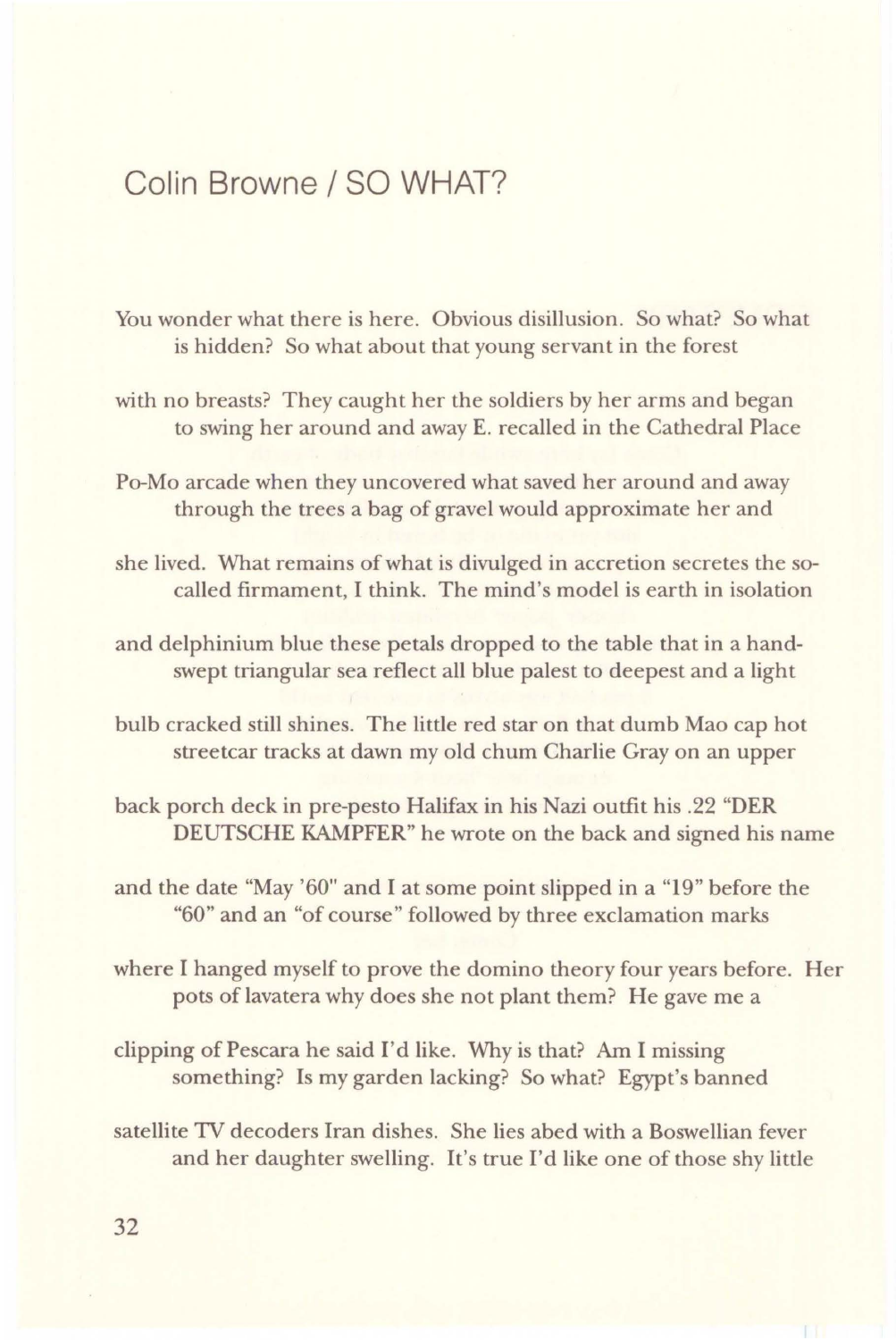## Colin Browne/ SO WHAT?

- You wonder what there is here. Obvious disillusion. So what? So what is hidden? So what about that young servant in the forest
- with no breasts? They caught her the soldiers by her arms and began to swing her around and away E. recalled in the Cathedral Place
- Po-Mo arcade when they uncovered what saved her around and away through the trees a bag of gravel would approximate her and
- she lived. What remains of what is divulged in accretion secretes the socalled firmament, I think. The mind's model is earth in isolation
- and delphinium blue these petals dropped to the table that in a handswept triangular sea reflect all blue palest to deepest and a light
- bulb cracked still shines. The little red star on that dumb Mao cap hot streetcar tracks at dawn my old chum Charlie Gray on an upper
- back porch deck in pre-pesto Halifax in his Nazi outfit his .22 "DER DEUTSCHE KAMPFER" he wrote on the back and signed his name
- and the date "May '60" and I at some point slipped in a "19" before the "60" and an "of course" followed by three exclamation marks
- where I hanged myself to prove the domino theory four years before. Her pots of lavatera why does she not plant them? He gave me a
- clipping of Pescara he said I'd like. Why is that? Am I missing something? Is my garden lacking? So what? Egypt's banned
- satellite 1V decoders Iran dishes. She lies abed with a Boswellian fever and her daughter swelling. It's true I'd like one of those shy little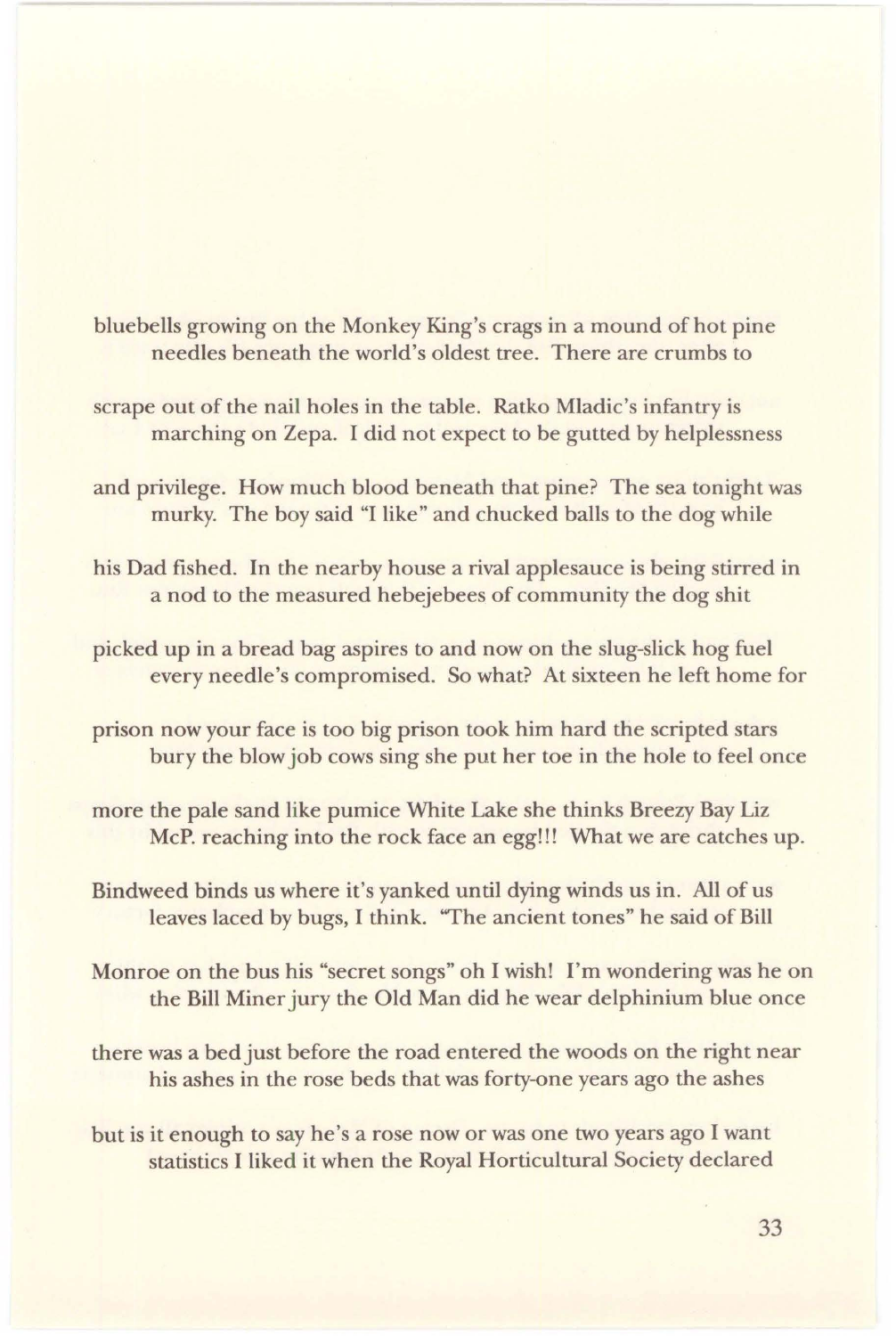bluebells growing on the Monkey King's crags in a mound of hot pine needles beneath the world's oldest tree. There are crumbs to

- scrape out of the nail holes in the table. Ratko Mladic's infantry is marching on Zepa. I did not expect to be gutted by helplessness
- and privilege. How much blood beneath that pine? The sea tonight was murky. The boy said "I like" and chucked balls to the dog while
- his Dad fished. In the nearby house a rival applesauce is being stirred in a nod to the measured hebejebees of community the dog shit
- picked up in a bread bag aspires to and now on the slug-slick hog fuel every needle's compromised. So what? At sixteen he left home for
- prison now your face is too big prison took him hard the scripted stars bury the blow job cows sing she put her toe in the hole to feel once
- more the pale sand like pumice White Lake she thinks Breezy Bay Liz McP. reaching into the rock face an egg!!! What we are catches up.
- Bindweed binds us where it's yanked until dying winds us in. All of us leaves laced by bugs, I think. ''The ancient tones" he said of Bill
- Monroe on the bus his "secret songs" oh I wish! I'm wondering was he on the Bill Miner jury the Old Man did he wear delphinium blue once
- there was a bed just before the road entered the woods on the right near his ashes in the rose beds that was forty-one years ago the ashes
- but is it enough to say he's a rose now or was one two years ago I want statistics I liked it when the Royal Horticultural Society declared